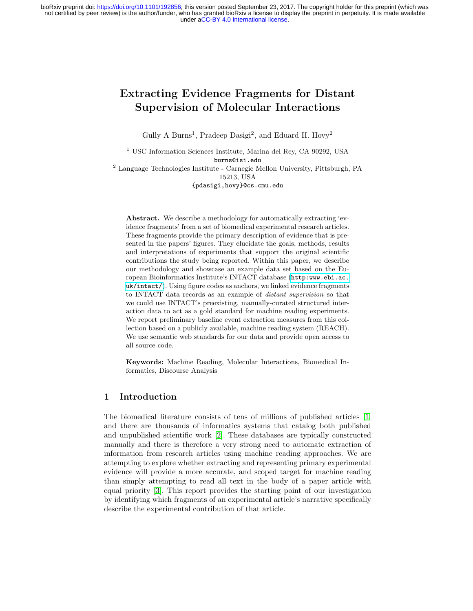under [aCC-BY 4.0 International license.](http://creativecommons.org/licenses/by/4.0/) not certified by peer review) is the author/funder, who has granted bioRxiv a license to display the preprint in perpetuity. It is made available bioRxiv preprint doi: [https://doi.org/10.1101/192856;](https://doi.org/10.1101/192856) this version posted September 23, 2017. The copyright holder for this preprint (which was

# Extracting Evidence Fragments for Distant Supervision of Molecular Interactions

Gully A Burns<sup>1</sup>, Pradeep Dasigi<sup>2</sup>, and Eduard H. Hovy<sup>2</sup>

<sup>1</sup> USC Information Sciences Institute, Marina del Rey, CA 90292, USA burns@isi.edu <sup>2</sup> Language Technologies Institute - Carnegie Mellon University, Pittsburgh, PA 15213, USA {pdasigi,hovy}@cs.cmu.edu

Abstract. We describe a methodology for automatically extracting 'evidence fragments' from a set of biomedical experimental research articles. These fragments provide the primary description of evidence that is presented in the papers' figures. They elucidate the goals, methods, results and interpretations of experiments that support the original scientific contributions the study being reported. Within this paper, we describe our methodology and showcase an example data set based on the European Bioinformatics Institute's INTACT database ([http:www.ebi.ac.](http:www.ebi.ac.uk/intact/) [uk/intact/](http:www.ebi.ac.uk/intact/)). Using figure codes as anchors, we linked evidence fragments to INTACT data records as an example of distant supervision so that we could use INTACT's preexisting, manually-curated structured interaction data to act as a gold standard for machine reading experiments. We report preliminary baseline event extraction measures from this collection based on a publicly available, machine reading system (REACH). We use semantic web standards for our data and provide open access to all source code.

Keywords: Machine Reading, Molecular Interactions, Biomedical Informatics, Discourse Analysis

#### 1 Introduction

The biomedical literature consists of tens of millions of published articles [\[1\]](#page-6-0) and there are thousands of informatics systems that catalog both published and unpublished scientific work [\[2\]](#page-6-1). These databases are typically constructed manually and there is therefore a very strong need to automate extraction of information from research articles using machine reading approaches. We are attempting to explore whether extracting and representing primary experimental evidence will provide a more accurate, and scoped target for machine reading than simply attempting to read all text in the body of a paper article with equal priority [\[3\]](#page-6-2). This report provides the starting point of our investigation by identifying which fragments of an experimental article's narrative specifically describe the experimental contribution of that article.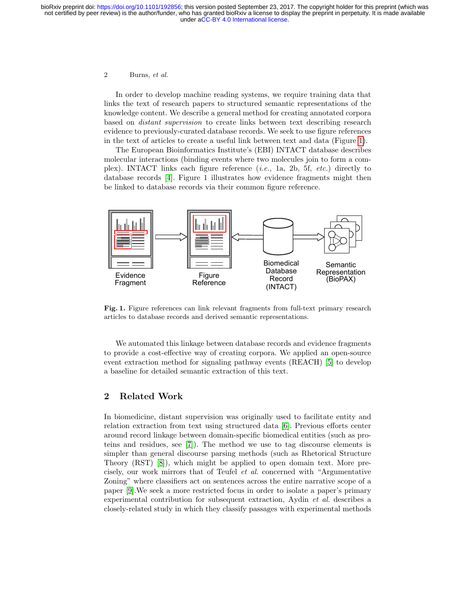#### 2 Burns, et al.

In order to develop machine reading systems, we require training data that links the text of research papers to structured semantic representations of the knowledge content. We describe a general method for creating annotated corpora based on distant supervision to create links between text describing research evidence to previously-curated database records. We seek to use figure references in the text of articles to create a useful link between text and data (Figure [1\)](#page-1-0).

The European Bioinformatics Institute's (EBI) INTACT database describes molecular interactions (binding events where two molecules join to form a complex). INTACT links each figure reference  $(i.e., 1a, 2b, 5f, etc.)$  directly to database records [\[4\]](#page-6-3). Figure 1 illustrates how evidence fragments might then be linked to database records via their common figure reference.



<span id="page-1-0"></span>Fig. 1. Figure references can link relevant fragments from full-text primary research articles to database records and derived semantic representations.

We automated this linkage between database records and evidence fragments to provide a cost-effective way of creating corpora. We applied an open-source event extraction method for signaling pathway events (REACH) [\[5\]](#page-7-0) to develop a baseline for detailed semantic extraction of this text.

# 2 Related Work

In biomedicine, distant supervision was originally used to facilitate entity and relation extraction from text using structured data [\[6\]](#page-7-1). Previous efforts center around record linkage between domain-specific biomedical entities (such as proteins and residues, see [\[7\]](#page-7-2)). The method we use to tag discourse elements is simpler than general discourse parsing methods (such as Rhetorical Structure Theory (RST) [\[8\]](#page-7-3)), which might be applied to open domain text. More precisely, our work mirrors that of Teufel et al. concerned with "Argumentative Zoning" where classifiers act on sentences across the entire narrative scope of a paper [\[9\]](#page-7-4).We seek a more restricted focus in order to isolate a paper's primary experimental contribution for subsequent extraction, Aydin et al. describes a closely-related study in which they classify passages with experimental methods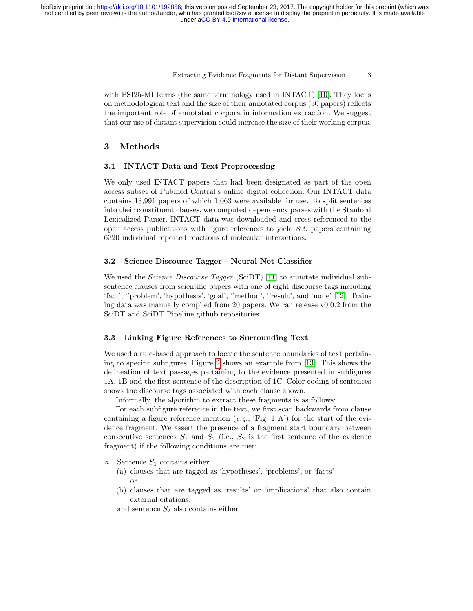Extracting Evidence Fragments for Distant Supervision 3

with PSI25-MI terms (the same terminology used in INTACT) [\[10\]](#page-7-5). They focus on methodological text and the size of their annotated corpus (30 papers) reflects the important role of annotated corpora in information extraction. We suggest that our use of distant supervision could increase the size of their working corpus.

# 3 Methods

#### 3.1 INTACT Data and Text Preprocessing

We only used INTACT papers that had been designated as part of the open access subset of Pubmed Central's online digital collection. Our INTACT data contains 13,991 papers of which 1,063 were available for use. To split sentences into their constituent clauses, we computed dependency parses with the Stanford Lexicalized Parser. INTACT data was downloaded and cross referenced to the open access publications with figure references to yield 899 papers containing 6320 individual reported reactions of molecular interactions.

#### 3.2 Science Discourse Tagger - Neural Net Classifier

We used the *Science Discourse Tagger* (SciDT) [\[11\]](#page-7-6) to annotate individual subsentence clauses from scientific papers with one of eight discourse tags including 'fact', ''problem', 'hypothesis', 'goal', ''method', ''result', and 'none' [\[12\]](#page-7-7). Training data was manually compiled from 20 papers. We ran release v0.0.2 from the SciDT and SciDT Pipeline github repositories.

#### 3.3 Linking Figure References to Surrounding Text

We used a rule-based approach to locate the sentence boundaries of text pertaining to specific subfigures. Figure [2](#page-3-0) shows an example from [\[13\]](#page-7-8). This shows the delineation of text passages pertaining to the evidence presented in subfigures 1A, 1B and the first sentence of the description of 1C. Color coding of sentences shows the discourse tags associated with each clause shown.

Informally, the algorithm to extract these fragments is as follows:

For each subfigure reference in the text, we first scan backwards from clause containing a figure reference mention  $(e.g., 'Fig. 1 A')$  for the start of the evidence fragment. We assert the presence of a fragment start boundary between consecutive sentences  $S_1$  and  $S_2$  (i.e.,  $S_2$  is the first sentence of the evidence fragment) if the following conditions are met:

- a. Sentence  $S_1$  contains either
	- (a) clauses that are tagged as 'hypotheses', 'problems', or 'facts' or
	- (b) clauses that are tagged as 'results' or 'implications' that also contain external citations.

and sentence  $S_2$  also contains either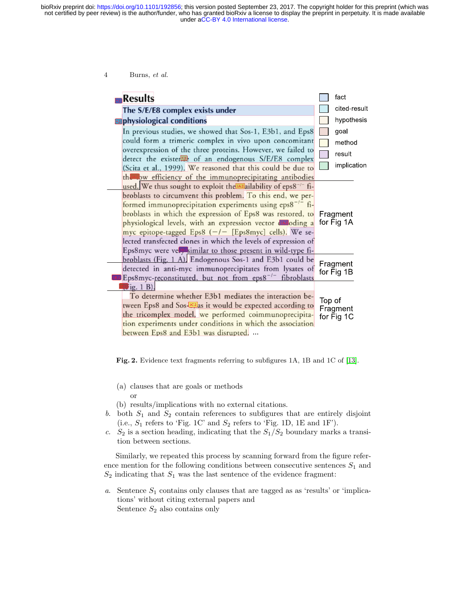under [aCC-BY 4.0 International license.](http://creativecommons.org/licenses/by/4.0/) not certified by peer review) is the author/funder, who has granted bioRxiv a license to display the preprint in perpetuity. It is made available bioRxiv preprint doi: [https://doi.org/10.1101/192856;](https://doi.org/10.1101/192856) this version posted September 23, 2017. The copyright holder for this preprint (which was

4 Burns, et al.

| <b>Results</b>                                                                                                                                                                                                                                                                                                                                                                                                                                                                                                                   | fact                                    |
|----------------------------------------------------------------------------------------------------------------------------------------------------------------------------------------------------------------------------------------------------------------------------------------------------------------------------------------------------------------------------------------------------------------------------------------------------------------------------------------------------------------------------------|-----------------------------------------|
| The S/E/E8 complex exists under                                                                                                                                                                                                                                                                                                                                                                                                                                                                                                  | cited-result                            |
| <b>a</b> physiological conditions                                                                                                                                                                                                                                                                                                                                                                                                                                                                                                | hypothesis                              |
| In previous studies, we showed that Sos-1, E3b1, and Eps8<br>could form a trimeric complex in vivo upon concomitant<br>overexpression of the three proteins. However, we failed to<br>detect the exister <sup>2</sup> of an endogenous S/E/E8 complex<br>(Scita et al., 1999). We reasoned that this could be due to<br>thanbw efficiency of the immunoprecipitating antibodies                                                                                                                                                  | goal<br>method<br>result<br>implication |
| used. We thus sought to exploit the Mallability of eps8 <sup>-/-</sup> fi-<br>broblasts to circumvent this problem. To this end, we per-<br>formed immunoprecipitation experiments using $eps8^{-/-}$ fi-<br>broblasts in which the expression of Eps8 was restored, to<br>physiological levels, with an expression vector durading a<br>myc epitope-tagged Eps8 (-/- [Eps8myc] cells). We se-<br>lected transfected clones in which the levels of expression of<br>Eps8myc were vella similar to those present in wild-type fi- | Fragment<br>for Fig 1A                  |
| broblasts (Fig. 1 A). Endogenous Sos-1 and E3b1 could be<br>detected in anti-myc immunoprecipitates from lysates of<br>Eps8myc-reconstituted, but not from eps8 <sup>-/-</sup> fibroblasts                                                                                                                                                                                                                                                                                                                                       | Fragment<br>for Fig 1B                  |
| $\frac{1}{2}$ ig. 1 B).<br>To determine whether E3b1 mediates the interaction be-<br>tween Eps8 and Sos- <sup>102</sup> as it would be expected according to<br>the tricomplex model, we performed coimmunoprecipita-<br>tion experiments under conditions in which the association<br>between Eps8 and E3b1 was disrupted.                                                                                                                                                                                                      | Top of<br>Fragment<br>for Fig 1C        |

<span id="page-3-0"></span>Fig. 2. Evidence text fragments referring to subfigures 1A, 1B and 1C of [\[13\]](#page-7-8).

- (a) clauses that are goals or methods or
- (b) results/implications with no external citations.
- b. both  $S_1$  and  $S_2$  contain references to subfigures that are entirely disjoint (i.e.,  $S_1$  refers to 'Fig. 1C' and  $S_2$  refers to 'Fig. 1D, 1E and 1F').
- c.  $S_2$  is a section heading, indicating that the  $S_1/S_2$  boundary marks a transition between sections.

Similarly, we repeated this process by scanning forward from the figure reference mention for the following conditions between consecutive sentences  $S_1$  and  $S_2$  indicating that  $S_1$  was the last sentence of the evidence fragment:

a. Sentence  $S_1$  contains only clauses that are tagged as as 'results' or 'implications' without citing external papers and Sentence  $S_2$  also contains only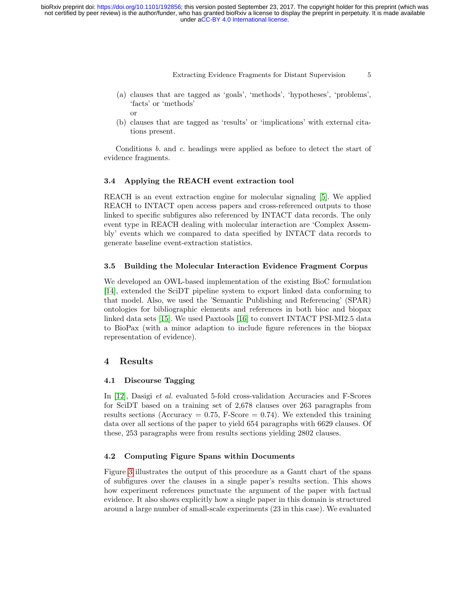Extracting Evidence Fragments for Distant Supervision 5

- (a) clauses that are tagged as 'goals', 'methods', 'hypotheses', 'problems', 'facts' or 'methods' or
- (b) clauses that are tagged as 'results' or 'implications' with external citations present.

Conditions  $b$ , and  $c$ , headings were applied as before to detect the start of evidence fragments.

#### 3.4 Applying the REACH event extraction tool

REACH is an event extraction engine for molecular signaling [\[5\]](#page-7-0). We applied REACH to INTACT open access papers and cross-referenced outputs to those linked to specific subfigures also referenced by INTACT data records. The only event type in REACH dealing with molecular interaction are 'Complex Assembly' events which we compared to data specified by INTACT data records to generate baseline event-extraction statistics.

#### 3.5 Building the Molecular Interaction Evidence Fragment Corpus

We developed an OWL-based implementation of the existing BioC formulation [\[14\]](#page-7-9), extended the SciDT pipeline system to export linked data conforming to that model. Also, we used the 'Semantic Publishing and Referencing' (SPAR) ontologies for bibliographic elements and references in both bioc and biopax linked data sets [\[15\]](#page-7-10). We used Paxtools [\[16\]](#page-7-11) to convert INTACT PSI-MI2.5 data to BioPax (with a minor adaption to include figure references in the biopax representation of evidence).

#### 4 Results

#### 4.1 Discourse Tagging

In [\[12\]](#page-7-7), Dasigi et al. evaluated 5-fold cross-validation Accuracies and F-Scores for SciDT based on a training set of 2,678 clauses over 263 paragraphs from results sections (Accuracy  $= 0.75$ , F-Score  $= 0.74$ ). We extended this training data over all sections of the paper to yield 654 paragraphs with 6629 clauses. Of these, 253 paragraphs were from results sections yielding 2802 clauses.

#### 4.2 Computing Figure Spans within Documents

Figure [3](#page-5-0) illustrates the output of this procedure as a Gantt chart of the spans of subfigures over the clauses in a single paper's results section. This shows how experiment references punctuate the argument of the paper with factual evidence. It also shows explicitly how a single paper in this domain is structured around a large number of small-scale experiments (23 in this case). We evaluated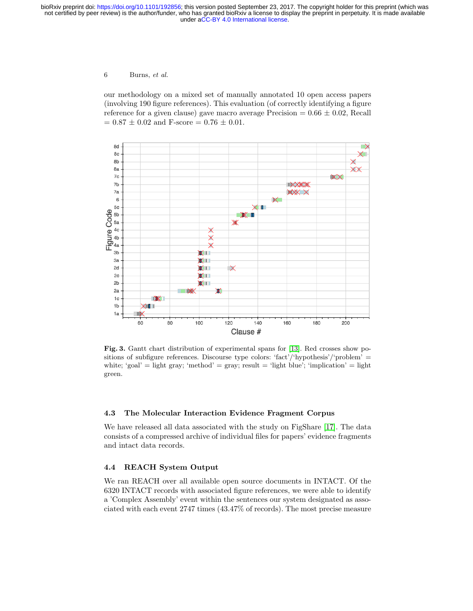under [aCC-BY 4.0 International license.](http://creativecommons.org/licenses/by/4.0/) not certified by peer review) is the author/funder, who has granted bioRxiv a license to display the preprint in perpetuity. It is made available bioRxiv preprint doi: [https://doi.org/10.1101/192856;](https://doi.org/10.1101/192856) this version posted September 23, 2017. The copyright holder for this preprint (which was

6 Burns, et al.

our methodology on a mixed set of manually annotated 10 open access papers (involving 190 figure references). This evaluation (of correctly identifying a figure reference for a given clause) gave macro average Precision  $= 0.66 \pm 0.02$ , Recall  $=$  0.87  $\pm$  0.02 and F-score  $=$  0.76  $\pm$  0.01.



<span id="page-5-0"></span>Fig. 3. Gantt chart distribution of experimental spans for [\[13\]](#page-7-8). Red crosses show positions of subfigure references. Discourse type colors: 'fact'/'hypothesis'/'problem' = white; 'goal' = light gray; 'method' = gray;  $result = 'light blue'; 'implication' = light$ green.

#### 4.3 The Molecular Interaction Evidence Fragment Corpus

We have released all data associated with the study on FigShare [\[17\]](#page-7-12). The data consists of a compressed archive of individual files for papers' evidence fragments and intact data records.

### 4.4 REACH System Output

We ran REACH over all available open source documents in INTACT. Of the 6320 INTACT records with associated figure references, we were able to identify a 'Complex Assembly' event within the sentences our system designated as associated with each event 2747 times (43.47% of records). The most precise measure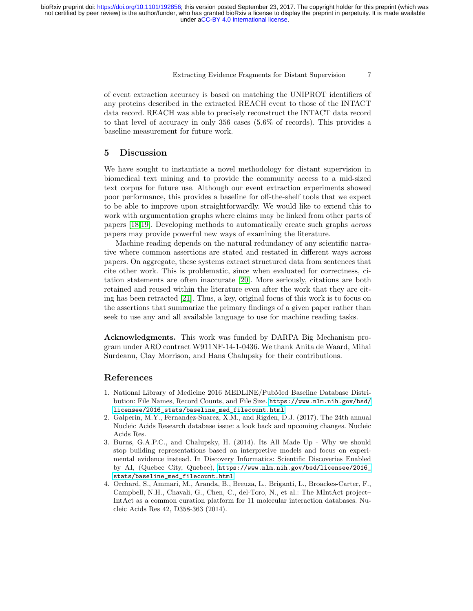Extracting Evidence Fragments for Distant Supervision 7

of event extraction accuracy is based on matching the UNIPROT identifiers of any proteins described in the extracted REACH event to those of the INTACT data record. REACH was able to precisely reconstruct the INTACT data record to that level of accuracy in only 356 cases (5.6% of records). This provides a baseline measurement for future work.

## 5 Discussion

We have sought to instantiate a novel methodology for distant supervision in biomedical text mining and to provide the community access to a mid-sized text corpus for future use. Although our event extraction experiments showed poor performance, this provides a baseline for off-the-shelf tools that we expect to be able to improve upon straightforwardly. We would like to extend this to work with argumentation graphs where claims may be linked from other parts of papers [\[18](#page-7-13)[,19\]](#page-7-14). Developing methods to automatically create such graphs across papers may provide powerful new ways of examining the literature.

Machine reading depends on the natural redundancy of any scientific narrative where common assertions are stated and restated in different ways across papers. On aggregate, these systems extract structured data from sentences that cite other work. This is problematic, since when evaluated for correctness, citation statements are often inaccurate [\[20\]](#page-7-15). More seriously, citations are both retained and reused within the literature even after the work that they are citing has been retracted [\[21\]](#page-7-16). Thus, a key, original focus of this work is to focus on the assertions that summarize the primary findings of a given paper rather than seek to use any and all available language to use for machine reading tasks.

Acknowledgments. This work was funded by DARPA Big Mechanism program under ARO contract W911NF-14-1-0436. We thank Anita de Waard, Mihai Surdeanu, Clay Morrison, and Hans Chalupsky for their contributions.

# References

- <span id="page-6-0"></span>1. National Library of Medicine 2016 MEDLINE/PubMed Baseline Database Distribution: File Names, Record Counts, and File Size. [https://www.nlm.nih.gov/bsd/](https://www.nlm.nih.gov/bsd/licensee/2016_stats/baseline_med_filecount.html) [licensee/2016\\_stats/baseline\\_med\\_filecount.html](https://www.nlm.nih.gov/bsd/licensee/2016_stats/baseline_med_filecount.html)
- <span id="page-6-1"></span>2. Galperin, M.Y., Fernandez-Suarez, X.M., and Rigden, D.J. (2017). The 24th annual Nucleic Acids Research database issue: a look back and upcoming changes. Nucleic Acids Res.
- <span id="page-6-2"></span>3. Burns, G.A.P.C., and Chalupsky, H. (2014). Its All Made Up - Why we should stop building representations based on interpretive models and focus on experimental evidence instead. In Discovery Informatics: Scientific Discoveries Enabled by AI, (Quebec City, Quebec), [https://www.nlm.nih.gov/bsd/licensee/2016\\_](https://www.nlm.nih.gov/bsd/licensee/2016_stats/baseline_med_filecount.html) [stats/baseline\\_med\\_filecount.html](https://www.nlm.nih.gov/bsd/licensee/2016_stats/baseline_med_filecount.html)
- <span id="page-6-3"></span>4. Orchard, S., Ammari, M., Aranda, B., Breuza, L., Briganti, L., Broackes-Carter, F., Campbell, N.H., Chavali, G., Chen, C., del-Toro, N., et al.: The MIntAct project– IntAct as a common curation platform for 11 molecular interaction databases. Nucleic Acids Res 42, D358-363 (2014).